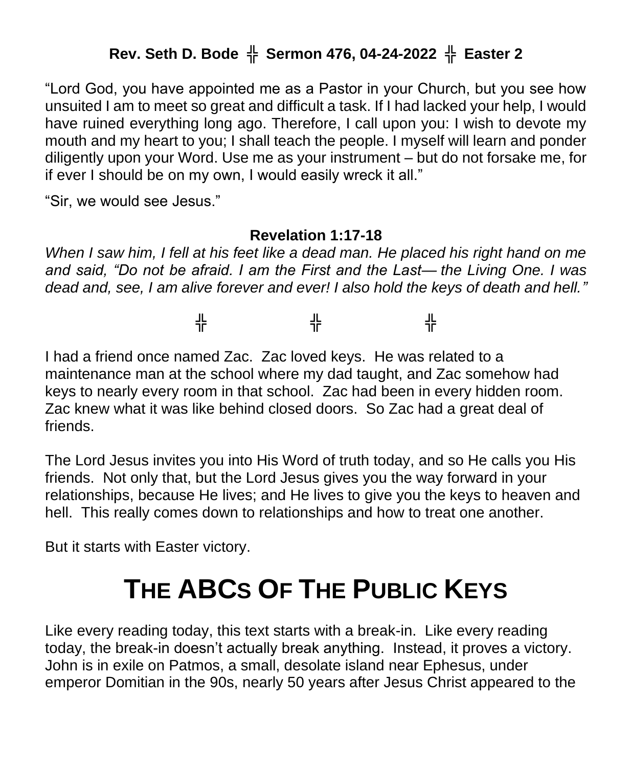## **Rev. Seth D. Bode** ╬ **Sermon 476, 04-24-2022** ╬ **Easter 2**

"Lord God, you have appointed me as a Pastor in your Church, but you see how unsuited I am to meet so great and difficult a task. If I had lacked your help, I would have ruined everything long ago. Therefore, I call upon you: I wish to devote my mouth and my heart to you; I shall teach the people. I myself will learn and ponder diligently upon your Word. Use me as your instrument – but do not forsake me, for if ever I should be on my own, I would easily wreck it all."

"Sir, we would see Jesus."

## **Revelation 1:17-18**

*When I saw him, I fell at his feet like a dead man. He placed his right hand on me and said, "Do not be afraid. I am the First and the Last— the Living One. I was dead and, see, I am alive forever and ever! I also hold the keys of death and hell."*

╬ ╬ ╬

I had a friend once named Zac. Zac loved keys. He was related to a maintenance man at the school where my dad taught, and Zac somehow had keys to nearly every room in that school. Zac had been in every hidden room. Zac knew what it was like behind closed doors. So Zac had a great deal of friends.

The Lord Jesus invites you into His Word of truth today, and so He calls you His friends. Not only that, but the Lord Jesus gives you the way forward in your relationships, because He lives; and He lives to give you the keys to heaven and hell. This really comes down to relationships and how to treat one another.

But it starts with Easter victory.

## **THE ABCS OF THE PUBLIC KEYS**

Like every reading today, this text starts with a break-in. Like every reading today, the break-in doesn't actually break anything. Instead, it proves a victory. John is in exile on Patmos, a small, desolate island near Ephesus, under emperor Domitian in the 90s, nearly 50 years after Jesus Christ appeared to the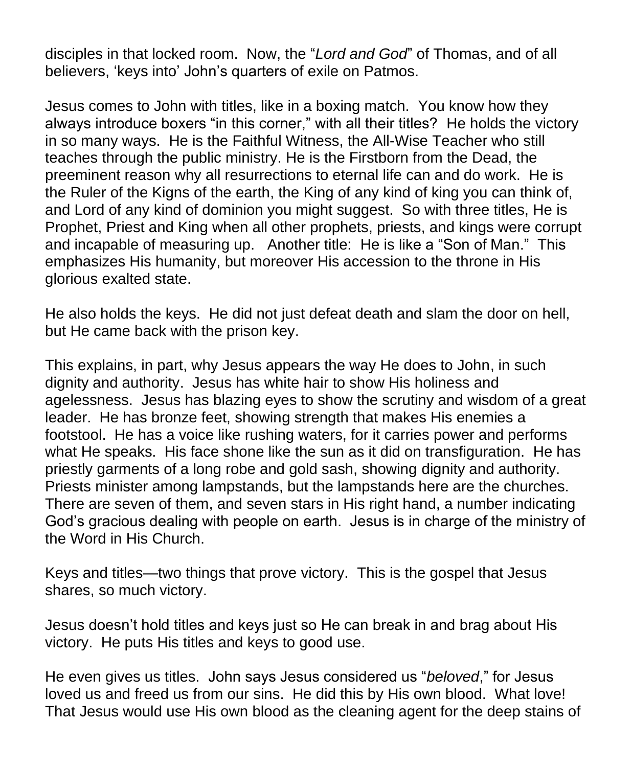disciples in that locked room. Now, the "*Lord and God*" of Thomas, and of all believers, 'keys into' John's quarters of exile on Patmos.

Jesus comes to John with titles, like in a boxing match. You know how they always introduce boxers "in this corner," with all their titles? He holds the victory in so many ways. He is the Faithful Witness, the All-Wise Teacher who still teaches through the public ministry. He is the Firstborn from the Dead, the preeminent reason why all resurrections to eternal life can and do work. He is the Ruler of the Kigns of the earth, the King of any kind of king you can think of, and Lord of any kind of dominion you might suggest. So with three titles, He is Prophet, Priest and King when all other prophets, priests, and kings were corrupt and incapable of measuring up. Another title: He is like a "Son of Man." This emphasizes His humanity, but moreover His accession to the throne in His glorious exalted state.

He also holds the keys. He did not just defeat death and slam the door on hell, but He came back with the prison key.

This explains, in part, why Jesus appears the way He does to John, in such dignity and authority. Jesus has white hair to show His holiness and agelessness. Jesus has blazing eyes to show the scrutiny and wisdom of a great leader. He has bronze feet, showing strength that makes His enemies a footstool. He has a voice like rushing waters, for it carries power and performs what He speaks. His face shone like the sun as it did on transfiguration. He has priestly garments of a long robe and gold sash, showing dignity and authority. Priests minister among lampstands, but the lampstands here are the churches. There are seven of them, and seven stars in His right hand, a number indicating God's gracious dealing with people on earth. Jesus is in charge of the ministry of the Word in His Church.

Keys and titles—two things that prove victory. This is the gospel that Jesus shares, so much victory.

Jesus doesn't hold titles and keys just so He can break in and brag about His victory. He puts His titles and keys to good use.

He even gives us titles. John says Jesus considered us "*beloved*," for Jesus loved us and freed us from our sins. He did this by His own blood. What love! That Jesus would use His own blood as the cleaning agent for the deep stains of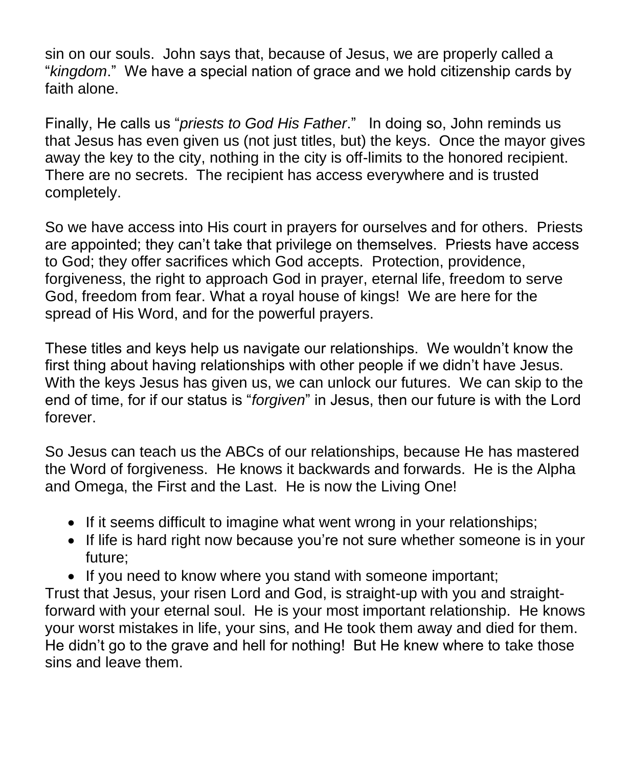sin on our souls. John says that, because of Jesus, we are properly called a "*kingdom*." We have a special nation of grace and we hold citizenship cards by faith alone.

Finally, He calls us "*priests to God His Father*." In doing so, John reminds us that Jesus has even given us (not just titles, but) the keys. Once the mayor gives away the key to the city, nothing in the city is off-limits to the honored recipient. There are no secrets. The recipient has access everywhere and is trusted completely.

So we have access into His court in prayers for ourselves and for others. Priests are appointed; they can't take that privilege on themselves. Priests have access to God; they offer sacrifices which God accepts. Protection, providence, forgiveness, the right to approach God in prayer, eternal life, freedom to serve God, freedom from fear. What a royal house of kings! We are here for the spread of His Word, and for the powerful prayers.

These titles and keys help us navigate our relationships. We wouldn't know the first thing about having relationships with other people if we didn't have Jesus. With the keys Jesus has given us, we can unlock our futures. We can skip to the end of time, for if our status is "*forgiven*" in Jesus, then our future is with the Lord forever.

So Jesus can teach us the ABCs of our relationships, because He has mastered the Word of forgiveness. He knows it backwards and forwards. He is the Alpha and Omega, the First and the Last. He is now the Living One!

- If it seems difficult to imagine what went wrong in your relationships;
- If life is hard right now because you're not sure whether someone is in your future;
- If you need to know where you stand with someone important;

Trust that Jesus, your risen Lord and God, is straight-up with you and straightforward with your eternal soul. He is your most important relationship. He knows your worst mistakes in life, your sins, and He took them away and died for them. He didn't go to the grave and hell for nothing! But He knew where to take those sins and leave them.